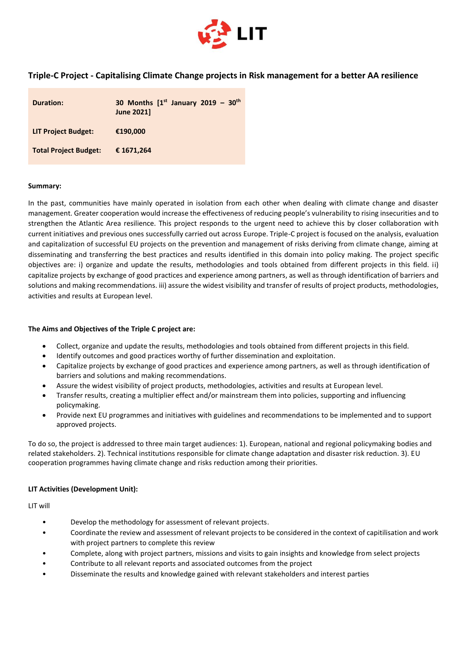

## **Triple-C Project - Capitalising Climate Change projects in Risk management for a better AA resilience**

| <b>Duration:</b>             | 30 Months $[1st$ January 2019 - 30 <sup>th</sup><br><b>June 2021]</b> |
|------------------------------|-----------------------------------------------------------------------|
| <b>LIT Project Budget:</b>   | €190,000                                                              |
| <b>Total Project Budget:</b> | € 1671,264                                                            |

## **Summary:**

In the past, communities have mainly operated in isolation from each other when dealing with climate change and disaster management. Greater cooperation would increase the effectiveness of reducing people's vulnerability to rising insecurities and to strengthen the Atlantic Area resilience. This project responds to the urgent need to achieve this by closer collaboration with current initiatives and previous ones successfully carried out across Europe. Triple-C project is focused on the analysis, evaluation and capitalization of successful EU projects on the prevention and management of risks deriving from climate change, aiming at disseminating and transferring the best practices and results identified in this domain into policy making. The project specific objectives are: i) organize and update the results, methodologies and tools obtained from different projects in this field. ii) capitalize projects by exchange of good practices and experience among partners, as well as through identification of barriers and solutions and making recommendations. iii) assure the widest visibility and transfer of results of project products, methodologies, activities and results at European level.

## **The Aims and Objectives of the Triple C project are:**

- Collect, organize and update the results, methodologies and tools obtained from different projects in this field.
- Identify outcomes and good practices worthy of further dissemination and exploitation.
- Capitalize projects by exchange of good practices and experience among partners, as well as through identification of barriers and solutions and making recommendations.
- Assure the widest visibility of project products, methodologies, activities and results at European level.
- Transfer results, creating a multiplier effect and/or mainstream them into policies, supporting and influencing policymaking.
- Provide next EU programmes and initiatives with guidelines and recommendations to be implemented and to support approved projects.

To do so, the project is addressed to three main target audiences: 1). European, national and regional policymaking bodies and related stakeholders. 2). Technical institutions responsible for climate change adaptation and disaster risk reduction. 3). EU cooperation programmes having climate change and risks reduction among their priorities.

## **LIT Activities (Development Unit):**

LIT will

- Develop the methodology for assessment of relevant projects.
- Coordinate the review and assessment of relevant projects to be considered in the context of capitilisation and work with project partners to complete this review
- Complete, along with project partners, missions and visits to gain insights and knowledge from select projects
- Contribute to all relevant reports and associated outcomes from the project
- Disseminate the results and knowledge gained with relevant stakeholders and interest parties